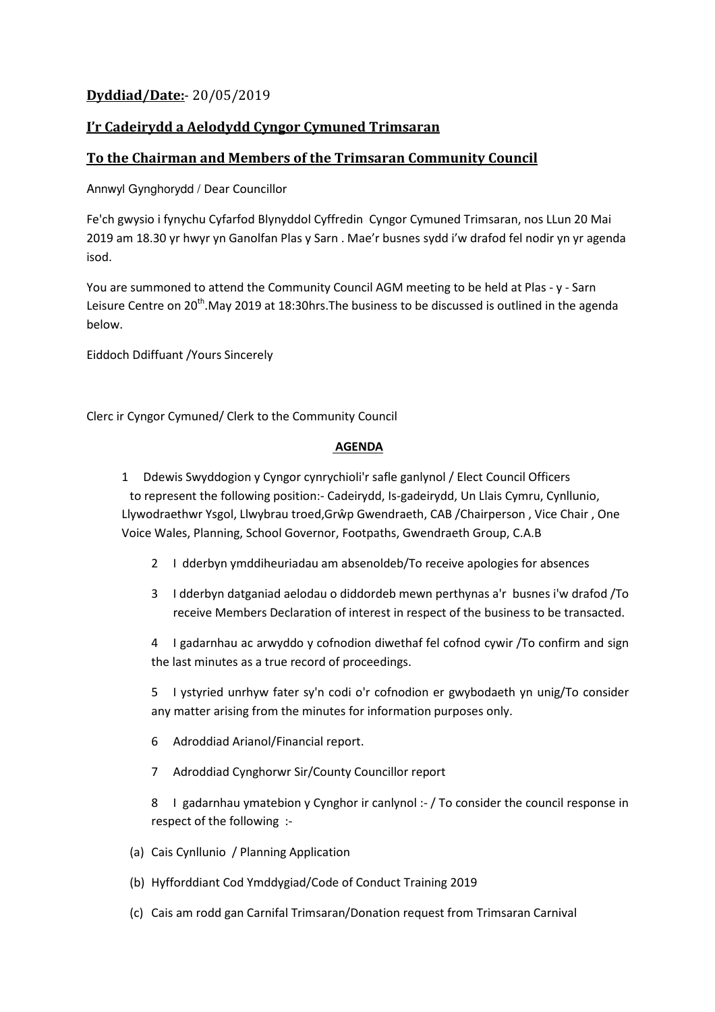## **Dyddiad/Date:**- 20/05/2019

## **I'r Cadeirydd a Aelodydd Cyngor Cymuned Trimsaran**

## **To the Chairman and Members of the Trimsaran Community Council**

Annwyl Gynghorydd / Dear Councillor

Fe'ch gwysio i fynychu Cyfarfod Blynyddol Cyffredin Cyngor Cymuned Trimsaran, nos LLun 20 Mai 2019 am 18.30 yr hwyr yn Ganolfan Plas y Sarn . Mae'r busnes sydd i'w drafod fel nodir yn yr agenda isod.

You are summoned to attend the Community Council AGM meeting to be held at Plas - y - Sarn Leisure Centre on 20<sup>th</sup>.May 2019 at 18:30hrs. The business to be discussed is outlined in the agenda below.

Eiddoch Ddiffuant /Yours Sincerely

Clerc ir Cyngor Cymuned/ Clerk to the Community Council

## **AGENDA**

1 Ddewis Swyddogion y Cyngor cynrychioli'r safle ganlynol / Elect Council Officers to represent the following position:- Cadeirydd, Is-gadeirydd, Un Llais Cymru, Cynllunio, Llywodraethwr Ysgol, Llwybrau troed,Grŵp Gwendraeth, CAB /Chairperson , Vice Chair , One Voice Wales, Planning, School Governor, Footpaths, Gwendraeth Group, C.A.B

- 2 I dderbyn ymddiheuriadau am absenoldeb/To receive apologies for absences
- 3 I dderbyn datganiad aelodau o diddordeb mewn perthynas a'r busnes i'w drafod /To receive Members Declaration of interest in respect of the business to be transacted.

4 I gadarnhau ac arwyddo y cofnodion diwethaf fel cofnod cywir /To confirm and sign the last minutes as a true record of proceedings.

5 I ystyried unrhyw fater sy'n codi o'r cofnodion er gwybodaeth yn unig/To consider any matter arising from the minutes for information purposes only.

- 6 Adroddiad Arianol/Financial report.
- 7 Adroddiad Cynghorwr Sir/County Councillor report

8 I gadarnhau ymatebion y Cynghor ir canlynol :- / To consider the council response in respect of the following :-

- (a) Cais Cynllunio / Planning Application
- (b) Hyfforddiant Cod Ymddygiad/Code of Conduct Training 2019
- (c) Cais am rodd gan Carnifal Trimsaran/Donation request from Trimsaran Carnival